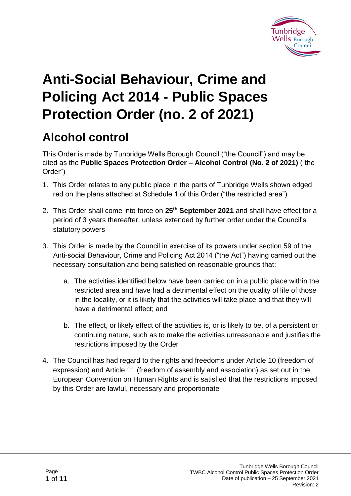

# **Anti-Social Behaviour, Crime and Policing Act 2014 - Public Spaces Protection Order (no. 2 of 2021)**

# **Alcohol control**

This Order is made by Tunbridge Wells Borough Council ("the Council") and may be cited as the **Public Spaces Protection Order – Alcohol Control (No. 2 of 2021)** ("the Order")

- 1. This Order relates to any public place in the parts of Tunbridge Wells shown edged red on the plans attached at Schedule 1 of this Order ("the restricted area")
- 2. This Order shall come into force on **25th September 2021** and shall have effect for a period of 3 years thereafter, unless extended by further order under the Council's statutory powers
- 3. This Order is made by the Council in exercise of its powers under section 59 of the Anti-social Behaviour, Crime and Policing Act 2014 ("the Act") having carried out the necessary consultation and being satisfied on reasonable grounds that:
	- a. The activities identified below have been carried on in a public place within the restricted area and have had a detrimental effect on the quality of life of those in the locality, or it is likely that the activities will take place and that they will have a detrimental effect; and
	- b. The effect, or likely effect of the activities is, or is likely to be, of a persistent or continuing nature, such as to make the activities unreasonable and justifies the restrictions imposed by the Order
- 4. The Council has had regard to the rights and freedoms under Article 10 (freedom of expression) and Article 11 (freedom of assembly and association) as set out in the European Convention on Human Rights and is satisfied that the restrictions imposed by this Order are lawful, necessary and proportionate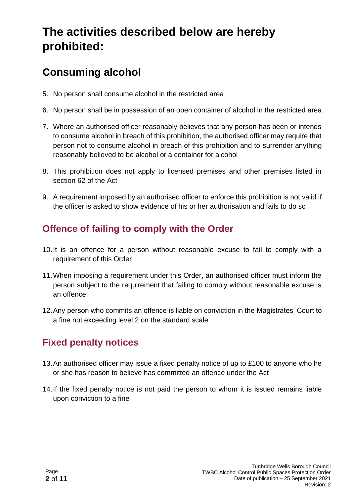# **The activities described below are hereby prohibited:**

# **Consuming alcohol**

- 5. No person shall consume alcohol in the restricted area
- 6. No person shall be in possession of an open container of alcohol in the restricted area
- 7. Where an authorised officer reasonably believes that any person has been or intends to consume alcohol in breach of this prohibition, the authorised officer may require that person not to consume alcohol in breach of this prohibition and to surrender anything reasonably believed to be alcohol or a container for alcohol
- 8. This prohibition does not apply to licensed premises and other premises listed in section 62 of the Act
- 9. A requirement imposed by an authorised officer to enforce this prohibition is not valid if the officer is asked to show evidence of his or her authorisation and fails to do so

#### **Offence of failing to comply with the Order**

- 10.It is an offence for a person without reasonable excuse to fail to comply with a requirement of this Order
- 11.When imposing a requirement under this Order, an authorised officer must inform the person subject to the requirement that failing to comply without reasonable excuse is an offence
- 12.Any person who commits an offence is liable on conviction in the Magistrates' Court to a fine not exceeding level 2 on the standard scale

## **Fixed penalty notices**

- 13.An authorised officer may issue a fixed penalty notice of up to £100 to anyone who he or she has reason to believe has committed an offence under the Act
- 14.If the fixed penalty notice is not paid the person to whom it is issued remains liable upon conviction to a fine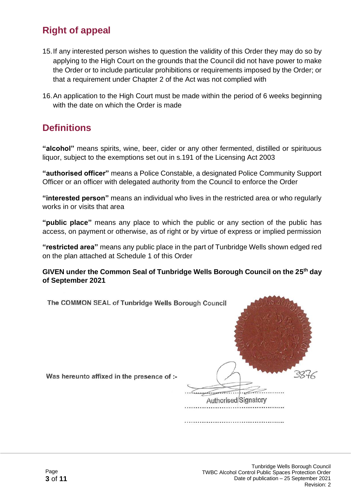#### **Right of appeal**

- 15.If any interested person wishes to question the validity of this Order they may do so by applying to the High Court on the grounds that the Council did not have power to make the Order or to include particular prohibitions or requirements imposed by the Order; or that a requirement under Chapter 2 of the Act was not complied with
- 16.An application to the High Court must be made within the period of 6 weeks beginning with the date on which the Order is made

#### **Definitions**

**"alcohol"** means spirits, wine, beer, cider or any other fermented, distilled or spirituous liquor, subject to the exemptions set out in s.191 of the Licensing Act 2003

**"authorised officer"** means a Police Constable, a designated Police Community Support Officer or an officer with delegated authority from the Council to enforce the Order

**"interested person"** means an individual who lives in the restricted area or who regularly works in or visits that area

**"public place"** means any place to which the public or any section of the public has access, on payment or otherwise, as of right or by virtue of express or implied permission

**"restricted area"** means any public place in the part of Tunbridge Wells shown edged red on the plan attached at Schedule 1 of this Order

**GIVEN under the Common Seal of Tunbridge Wells Borough Council on the 25 th day of September 2021**

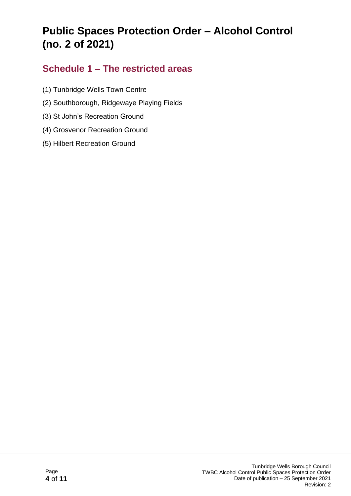# **Public Spaces Protection Order – Alcohol Control (no. 2 of 2021)**

#### **Schedule 1 – The restricted areas**

- (1) Tunbridge Wells Town Centre
- (2) Southborough, Ridgewaye Playing Fields
- (3) St John's Recreation Ground
- (4) Grosvenor Recreation Ground
- (5) Hilbert Recreation Ground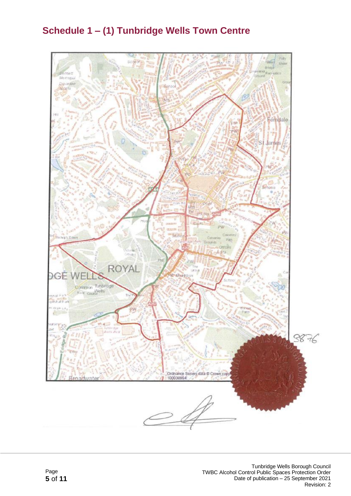### **Schedule 1 – (1) Tunbridge Wells Town Centre**

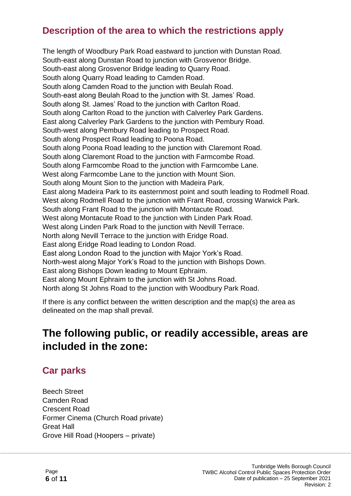#### **Description of the area to which the restrictions apply**

The length of Woodbury Park Road eastward to junction with Dunstan Road. South-east along Dunstan Road to junction with Grosvenor Bridge. South-east along Grosvenor Bridge leading to Quarry Road. South along Quarry Road leading to Camden Road. South along Camden Road to the junction with Beulah Road. South-east along Beulah Road to the junction with St. James' Road. South along St. James' Road to the junction with Carlton Road. South along Carlton Road to the junction with Calverley Park Gardens. East along Calverley Park Gardens to the junction with Pembury Road. South-west along Pembury Road leading to Prospect Road. South along Prospect Road leading to Poona Road. South along Poona Road leading to the junction with Claremont Road. South along Claremont Road to the junction with Farmcombe Road. South along Farmcombe Road to the junction with Farmcombe Lane. West along Farmcombe Lane to the junction with Mount Sion. South along Mount Sion to the junction with Madeira Park. East along Madeira Park to its easternmost point and south leading to Rodmell Road. West along Rodmell Road to the junction with Frant Road, crossing Warwick Park. South along Frant Road to the junction with Montacute Road. West along Montacute Road to the junction with Linden Park Road. West along Linden Park Road to the junction with Nevill Terrace. North along Nevill Terrace to the junction with Eridge Road. East along Eridge Road leading to London Road. East along London Road to the junction with Major York's Road. North-west along Major York's Road to the junction with Bishops Down. East along Bishops Down leading to Mount Ephraim. East along Mount Ephraim to the junction with St Johns Road. North along St Johns Road to the junction with Woodbury Park Road.

If there is any conflict between the written description and the map(s) the area as delineated on the map shall prevail.

# **The following public, or readily accessible, areas are included in the zone:**

#### **Car parks**

Beech Street Camden Road Crescent Road Former Cinema (Church Road private) Great Hall Grove Hill Road (Hoopers – private)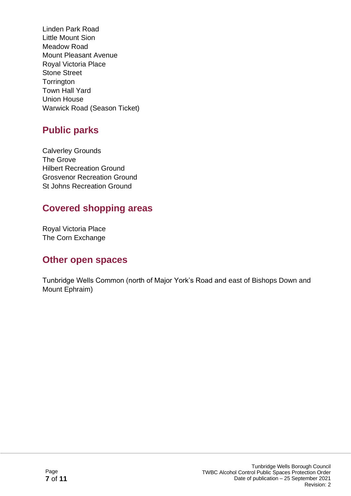Linden Park Road Little Mount Sion Meadow Road Mount Pleasant Avenue Royal Victoria Place Stone Street **Torrington** Town Hall Yard Union House Warwick Road (Season Ticket)

### **Public parks**

Calverley Grounds The Grove Hilbert Recreation Ground Grosvenor Recreation Ground St Johns Recreation Ground

### **Covered shopping areas**

Royal Victoria Place The Corn Exchange

#### **Other open spaces**

Tunbridge Wells Common (north of Major York's Road and east of Bishops Down and Mount Ephraim)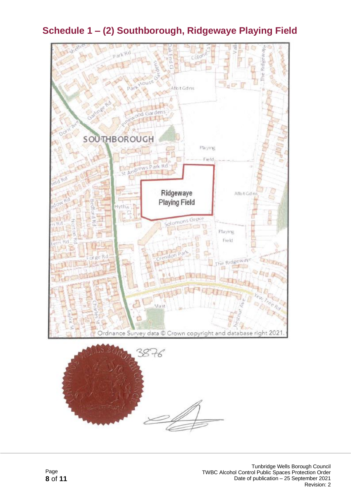

### **Schedule 1 – (2) Southborough, Ridgewaye Playing Field**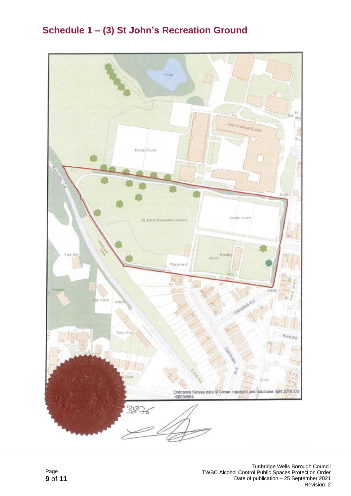### **Schedule 1 – (3) St John's Recreation Ground**

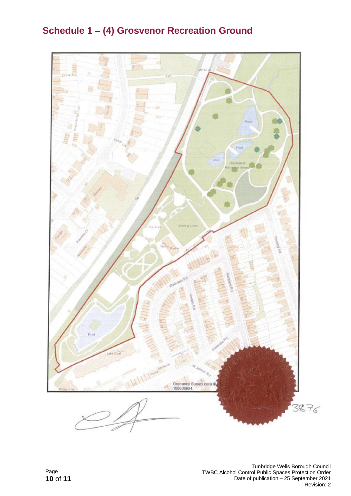## **Schedule 1 – (4) Grosvenor Recreation Ground**